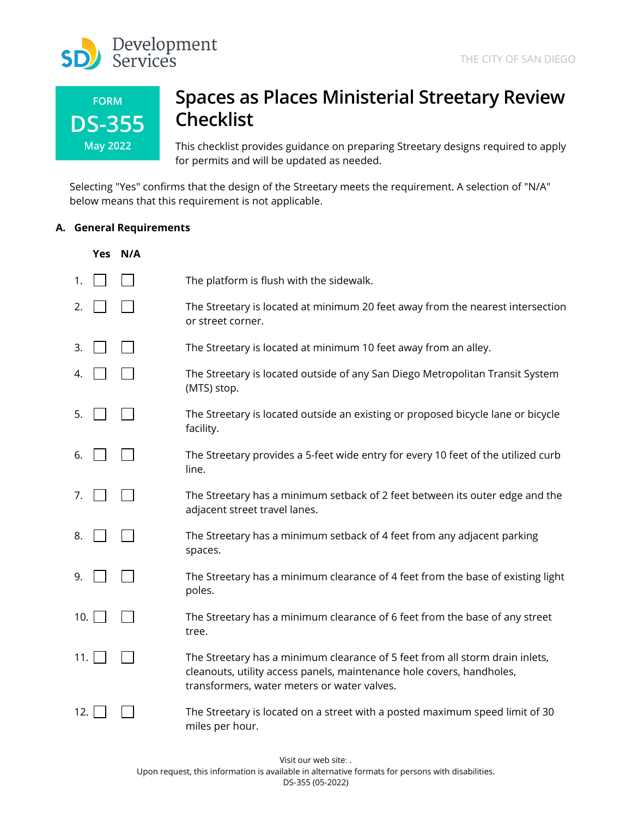

| <b>FORM</b>     |
|-----------------|
| <b>DS-355</b>   |
| <b>May 2022</b> |

# **Spaces as Places Ministerial Streetary Review Checklist**

This checklist provides guidance on preparing Streetary designs required to apply for permits and will be updated as needed.

Selecting "Yes" confirms that the design of the Streetary meets the requirement. A selection of "N/A" below means that this requirement is not applicable.

## **A. General Requirements**

|      | Yes N/A |                                                                                                                                                                                                      |
|------|---------|------------------------------------------------------------------------------------------------------------------------------------------------------------------------------------------------------|
| 1.   |         | The platform is flush with the sidewalk.                                                                                                                                                             |
| 2.   |         | The Streetary is located at minimum 20 feet away from the nearest intersection<br>or street corner.                                                                                                  |
| 3.   |         | The Streetary is located at minimum 10 feet away from an alley.                                                                                                                                      |
| 4.   |         | The Streetary is located outside of any San Diego Metropolitan Transit System<br>(MTS) stop.                                                                                                         |
| 5.   |         | The Streetary is located outside an existing or proposed bicycle lane or bicycle<br>facility.                                                                                                        |
| 6.   |         | The Streetary provides a 5-feet wide entry for every 10 feet of the utilized curb<br>line.                                                                                                           |
| 7.   |         | The Streetary has a minimum setback of 2 feet between its outer edge and the<br>adjacent street travel lanes.                                                                                        |
| 8.   |         | The Streetary has a minimum setback of 4 feet from any adjacent parking<br>spaces.                                                                                                                   |
| 9.   |         | The Streetary has a minimum clearance of 4 feet from the base of existing light<br>poles.                                                                                                            |
| 10.1 |         | The Streetary has a minimum clearance of 6 feet from the base of any street<br>tree.                                                                                                                 |
| 11.  |         | The Streetary has a minimum clearance of 5 feet from all storm drain inlets,<br>cleanouts, utility access panels, maintenance hole covers, handholes,<br>transformers, water meters or water valves. |
| 12.  |         | The Streetary is located on a street with a posted maximum speed limit of 30<br>miles per hour.                                                                                                      |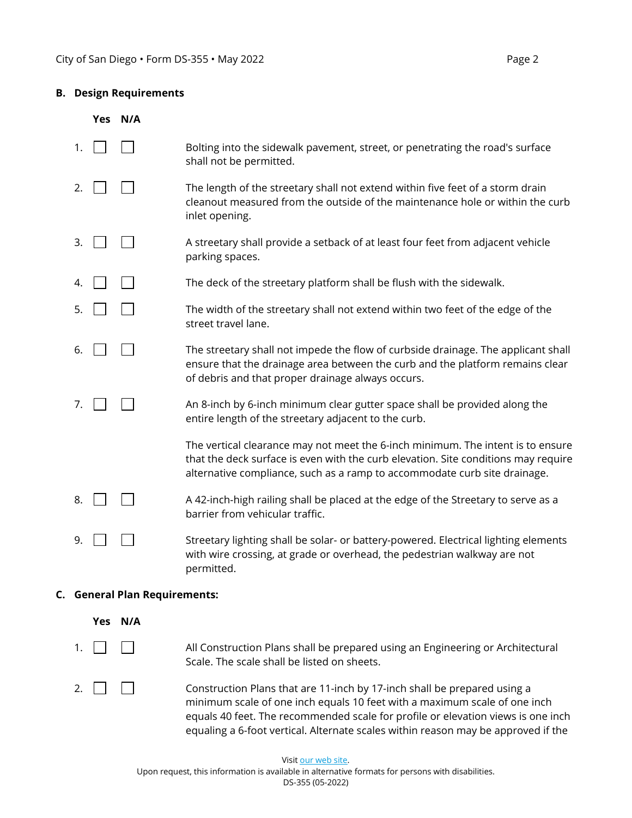#### **B. Design Requirements**

|    | Yes N/A                       |                                                                                                                                                                                                                                                    |
|----|-------------------------------|----------------------------------------------------------------------------------------------------------------------------------------------------------------------------------------------------------------------------------------------------|
| 1. |                               | Bolting into the sidewalk pavement, street, or penetrating the road's surface<br>shall not be permitted.                                                                                                                                           |
| 2. |                               | The length of the streetary shall not extend within five feet of a storm drain<br>cleanout measured from the outside of the maintenance hole or within the curb<br>inlet opening.                                                                  |
| 3. |                               | A streetary shall provide a setback of at least four feet from adjacent vehicle<br>parking spaces.                                                                                                                                                 |
| 4. |                               | The deck of the streetary platform shall be flush with the sidewalk.                                                                                                                                                                               |
| 5. |                               | The width of the streetary shall not extend within two feet of the edge of the<br>street travel lane.                                                                                                                                              |
| 6. |                               | The streetary shall not impede the flow of curbside drainage. The applicant shall<br>ensure that the drainage area between the curb and the platform remains clear<br>of debris and that proper drainage always occurs.                            |
| 7. |                               | An 8-inch by 6-inch minimum clear gutter space shall be provided along the<br>entire length of the streetary adjacent to the curb.                                                                                                                 |
|    |                               | The vertical clearance may not meet the 6-inch minimum. The intent is to ensure<br>that the deck surface is even with the curb elevation. Site conditions may require<br>alternative compliance, such as a ramp to accommodate curb site drainage. |
| 8. |                               | A 42-inch-high railing shall be placed at the edge of the Streetary to serve as a<br>barrier from vehicular traffic.                                                                                                                               |
| 9. |                               | Streetary lighting shall be solar- or battery-powered. Electrical lighting elements<br>with wire crossing, at grade or overhead, the pedestrian walkway are not<br>permitted.                                                                      |
|    | C. General Plan Requirements: |                                                                                                                                                                                                                                                    |
|    | Yes N/A                       |                                                                                                                                                                                                                                                    |
| 1. |                               | All Construction Plans shall be prepared using an Engineering or Architectural<br>Scale. The scale shall be listed on sheets.                                                                                                                      |

2.  $\Box$ minimum scale of one inch equals 10 feet with a maximum scale of one inch equals 40 feet. The recommended scale for profile or elevation views is one inch equaling a 6-foot vertical. Alternate scales within reason may be approved if the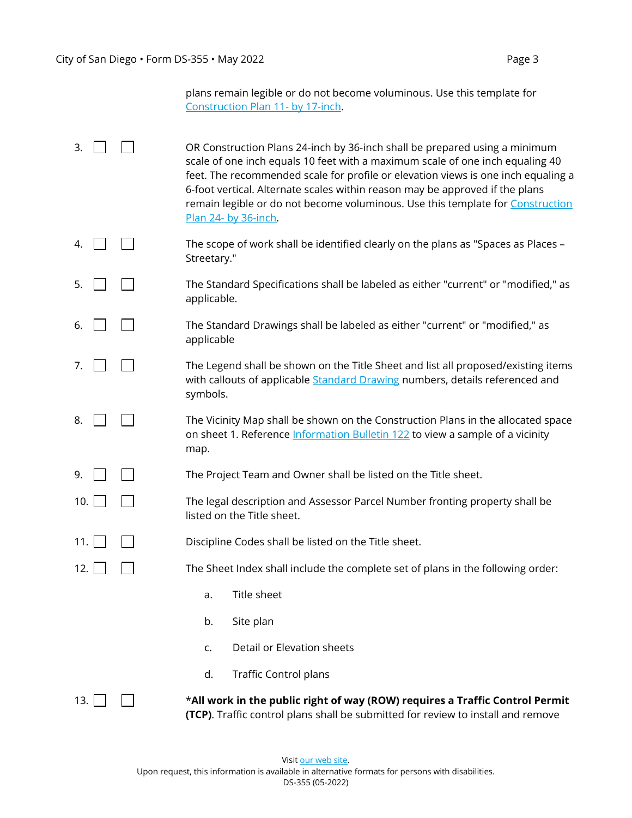|                                   | plans remain legible or do not become voluminous. Use this template for |  |
|-----------------------------------|-------------------------------------------------------------------------|--|
| Construction Plan 11- by 17-inch. |                                                                         |  |

- 3.  $\Box$   $\Box$  OR Construction Plans 24-inch by 36-inch shall be prepared using a minimum scale of one inch equals 10 feet with a maximum scale of one inch equaling 40 feet. The recommended scale for profile or elevation views is one inch equaling a 6-foot vertical. Alternate scales within reason may be approved if the plans remain legible or do not become voluminous. Use this template for **Construction** [Plan 24- by 36-inch.](https://www.sandiego.gov/sites/default/files/spaces_as_places_sheet_1_to_3.pdf)
- 4.  $\Box$   $\Box$  The scope of work shall be identified clearly on the plans as "Spaces as Places Streetary."
- $5. \Box \Box$  The Standard Specifications shall be labeled as either "current" or "modified," as applicable.
- 6.  $\Box$  The Standard Drawings shall be labeled as either "current" or "modified," as applicable
- 7.  $\Box$  The Legend shall be shown on the Title Sheet and list all proposed/existing items with callouts of applicable **Standard Drawing numbers**, details referenced and symbols.
- 8.  $\Box$  The Vicinity Map shall be shown on the Construction Plans in the allocated space on sheet 1. Reference **Information Bulletin 122** to view a sample of a vicinity map.
- 9. **The Project Team and Owner shall be listed on the Title sheet.**
- 10.  $\vert$   $\vert$   $\vert$   $\vert$  The legal description and Assessor Parcel Number fronting property shall be listed on the Title sheet.
- 11. **Discipline Codes shall be listed on the Title sheet.**

12.  $\Box$  The Sheet Index shall include the complete set of plans in the following order:

- a. Title sheet
- b. Site plan
- c. Detail or Elevation sheets
- d. Traffic Control plans

13. \***All work in the public right of way (ROW) requires a Traffic Control Permit (TCP)**. Traffic control plans shall be submitted for review to install and remove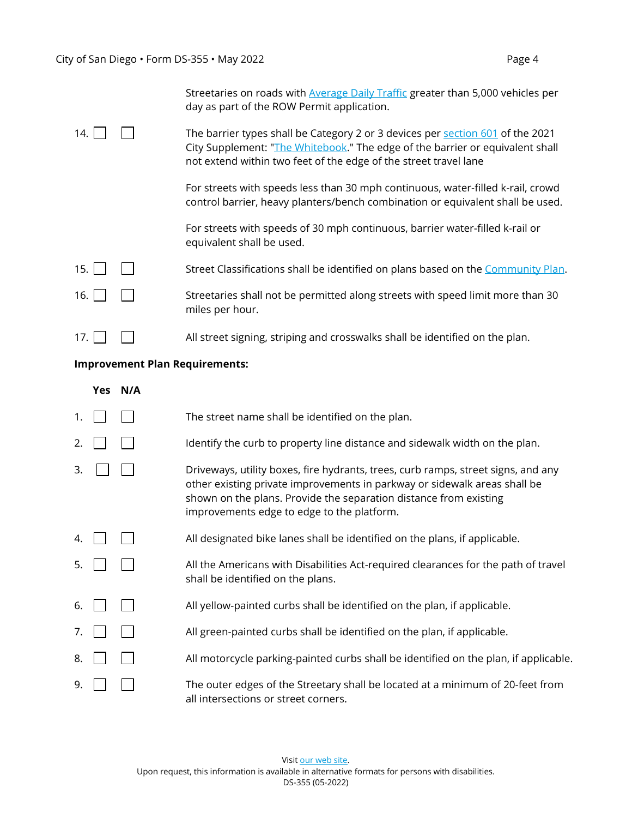|             |         | Streetaries on roads with <b>Average Daily Traffic</b> greater than 5,000 vehicles per<br>day as part of the ROW Permit application.                                                                                                |
|-------------|---------|-------------------------------------------------------------------------------------------------------------------------------------------------------------------------------------------------------------------------------------|
| 14.         |         | The barrier types shall be Category 2 or 3 devices per section 601 of the 2021<br>City Supplement: "The Whitebook." The edge of the barrier or equivalent shall<br>not extend within two feet of the edge of the street travel lane |
|             |         | For streets with speeds less than 30 mph continuous, water-filled k-rail, crowd<br>control barrier, heavy planters/bench combination or equivalent shall be used.                                                                   |
|             |         | For streets with speeds of 30 mph continuous, barrier water-filled k-rail or<br>equivalent shall be used.                                                                                                                           |
| 15.         |         | Street Classifications shall be identified on plans based on the Community Plan.                                                                                                                                                    |
| 16.         |         | Streetaries shall not be permitted along streets with speed limit more than 30<br>miles per hour.                                                                                                                                   |
| 17. $\vert$ |         | All street signing, striping and crosswalks shall be identified on the plan.                                                                                                                                                        |
|             |         | <b>Improvement Plan Requirements:</b>                                                                                                                                                                                               |
|             | Yes N/A |                                                                                                                                                                                                                                     |
| 1.          |         | The street name shall be identified on the plan.                                                                                                                                                                                    |
|             |         |                                                                                                                                                                                                                                     |

- 2.  $\Box$  Identify the curb to property line distance and sidewalk width on the plan.
- $\Box$  Driveways, utility boxes, fire hydrants, trees, curb ramps, street signs, and any other existing private improvements in parkway or sidewalk areas shall be shown on the plans. Provide the separation distance from existing improvements edge to edge to the platform.
- 4.  $\Box$   $\Box$  All designated bike lanes shall be identified on the plans, if applicable.
- $5.$   $\begin{array}{|c|c|c|c|c|c|} \hline \end{array}$  All the Americans with Disabilities Act-required clearances for the path of travel shall be identified on the plans.
- 6.  $\Box$  All yellow-painted curbs shall be identified on the plan, if applicable.
- 7.  $\Box$  All green-painted curbs shall be identified on the plan, if applicable.
- 8.  $\Box$   $\Box$  All motorcycle parking-painted curbs shall be identified on the plan, if applicable.
- 9. **The outer edges of the Streetary shall be located at a minimum of 20-feet from** all intersections or street corners.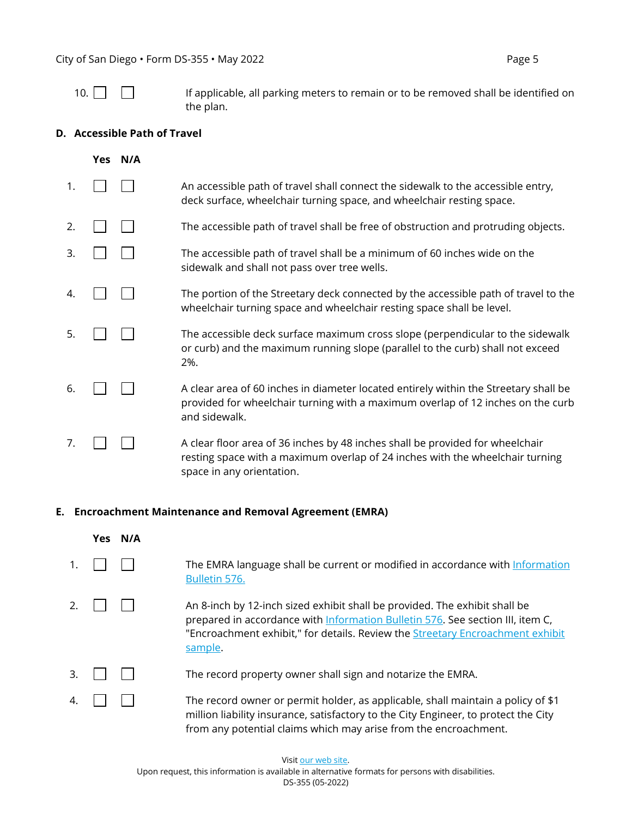| ۰. |  |  |  |  |
|----|--|--|--|--|
|----|--|--|--|--|

If applicable, all parking meters to remain or to be removed shall be identified on the plan.

## **D. Accessible Path of Travel**

|    | Yes N/A |                                                                                                                                                                                             |
|----|---------|---------------------------------------------------------------------------------------------------------------------------------------------------------------------------------------------|
| 1. |         | An accessible path of travel shall connect the sidewalk to the accessible entry,<br>deck surface, wheelchair turning space, and wheelchair resting space.                                   |
| 2. |         | The accessible path of travel shall be free of obstruction and protruding objects.                                                                                                          |
| 3. |         | The accessible path of travel shall be a minimum of 60 inches wide on the<br>sidewalk and shall not pass over tree wells.                                                                   |
| 4. |         | The portion of the Streetary deck connected by the accessible path of travel to the<br>wheelchair turning space and wheelchair resting space shall be level.                                |
| 5. |         | The accessible deck surface maximum cross slope (perpendicular to the sidewalk<br>or curb) and the maximum running slope (parallel to the curb) shall not exceed<br>2%.                     |
| 6. |         | A clear area of 60 inches in diameter located entirely within the Streetary shall be<br>provided for wheelchair turning with a maximum overlap of 12 inches on the curb<br>and sidewalk.    |
| 7. |         | A clear floor area of 36 inches by 48 inches shall be provided for wheelchair<br>resting space with a maximum overlap of 24 inches with the wheelchair turning<br>space in any orientation. |

# **E. Encroachment Maintenance and Removal Agreement (EMRA)**

|    | Yes. | N/A |                                                                                                                                                                                                                                                                  |
|----|------|-----|------------------------------------------------------------------------------------------------------------------------------------------------------------------------------------------------------------------------------------------------------------------|
| 1. |      |     | The EMRA language shall be current or modified in accordance with Information<br>Bulletin 576.                                                                                                                                                                   |
| 2. |      |     | An 8-inch by 12-inch sized exhibit shall be provided. The exhibit shall be<br>prepared in accordance with Information Bulletin 576. See section III, item C,<br>"Encroachment exhibit," for details. Review the <b>Streetary Encroachment exhibit</b><br>sample. |
| 3. |      |     | The record property owner shall sign and notarize the EMRA.                                                                                                                                                                                                      |
| 4  |      |     | The record owner or permit holder, as applicable, shall maintain a policy of \$1<br>million liability insurance, satisfactory to the City Engineer, to protect the City                                                                                          |

from any potential claims which may arise from the encroachment.